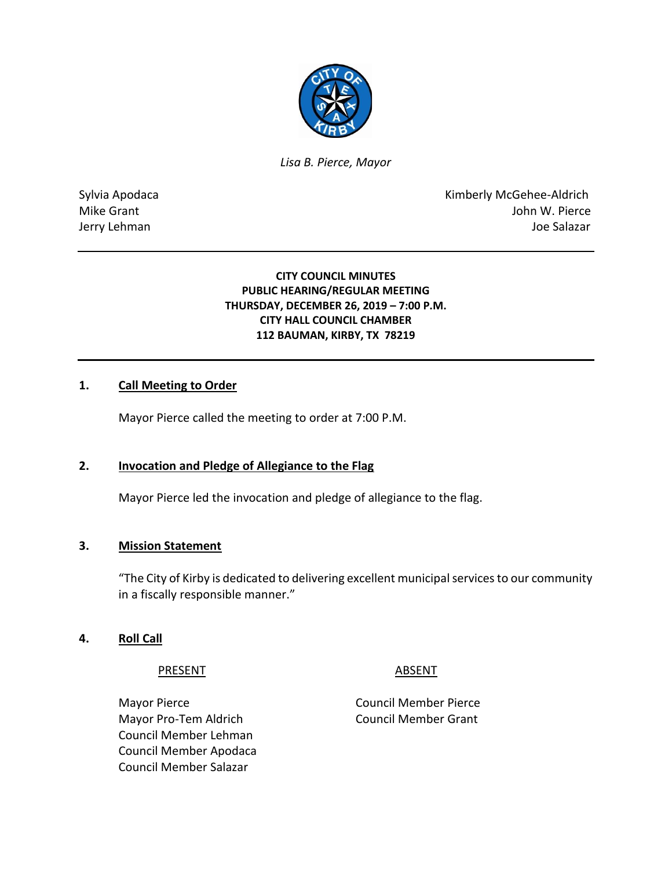

*Lisa B. Pierce, Mayor* 

Sylvia Apodaca **Kimberly McGehee-Aldrich** Mike Grant **Mike Grant** John W. Pierce Jerry Lehman Joe Salazar

# **CITY COUNCIL MINUTES PUBLIC HEARING/REGULAR MEETING THURSDAY, DECEMBER 26, 2019 – 7:00 P.M. CITY HALL COUNCIL CHAMBER 112 BAUMAN, KIRBY, TX 78219**

# **1. Call Meeting to Order**

Mayor Pierce called the meeting to order at 7:00 P.M.

# **2. Invocation and Pledge of Allegiance to the Flag**

Mayor Pierce led the invocation and pledge of allegiance to the flag.

# **3. Mission Statement**

"The City of Kirby is dedicated to delivering excellent municipal services to our community in a fiscally responsible manner."

# **4. Roll Call**

PRESENT ABSENT

Mayor Pierce **Council Member Pierce** Mayor Pro-Tem Aldrich Council Member Grant Council Member Lehman Council Member Apodaca Council Member Salazar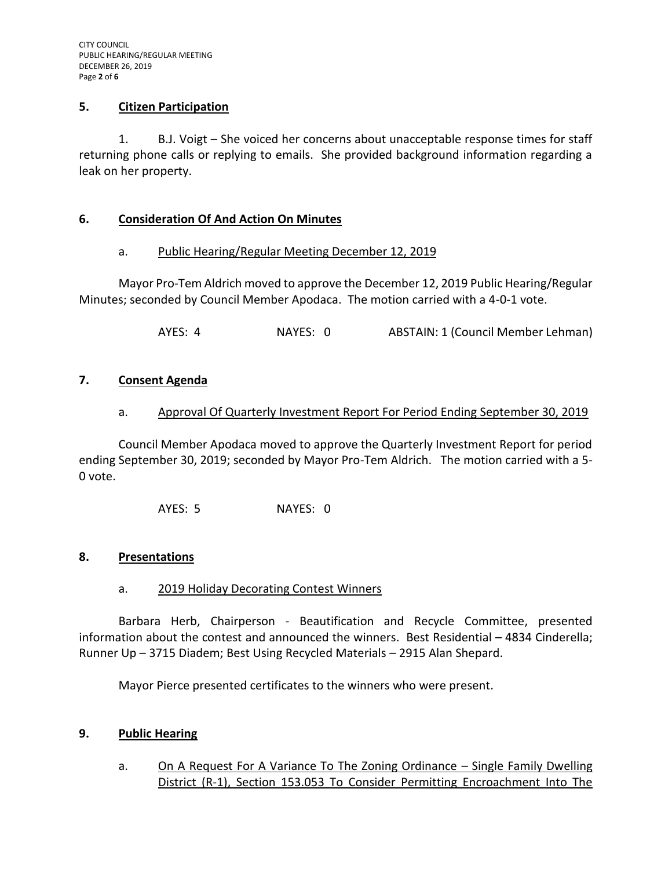# **5. Citizen Participation**

1. B.J. Voigt – She voiced her concerns about unacceptable response times for staff returning phone calls or replying to emails. She provided background information regarding a leak on her property.

### **6. Consideration Of And Action On Minutes**

### a. Public Hearing/Regular Meeting December 12, 2019

Mayor Pro-Tem Aldrich moved to approve the December 12, 2019 Public Hearing/Regular Minutes; seconded by Council Member Apodaca. The motion carried with a 4-0-1 vote.

AYES: 4 NAYES: 0 ABSTAIN: 1 (Council Member Lehman)

### **7. Consent Agenda**

### a. Approval Of Quarterly Investment Report For Period Ending September 30, 2019

Council Member Apodaca moved to approve the Quarterly Investment Report for period ending September 30, 2019; seconded by Mayor Pro-Tem Aldrich. The motion carried with a 5- 0 vote.

AYES: 5 NAYES: 0

#### **8. Presentations**

#### a. 2019 Holiday Decorating Contest Winners

Barbara Herb, Chairperson - Beautification and Recycle Committee, presented information about the contest and announced the winners. Best Residential – 4834 Cinderella; Runner Up – 3715 Diadem; Best Using Recycled Materials – 2915 Alan Shepard.

Mayor Pierce presented certificates to the winners who were present.

# **9. Public Hearing**

a. On A Request For A Variance To The Zoning Ordinance – Single Family Dwelling District (R-1), Section 153.053 To Consider Permitting Encroachment Into The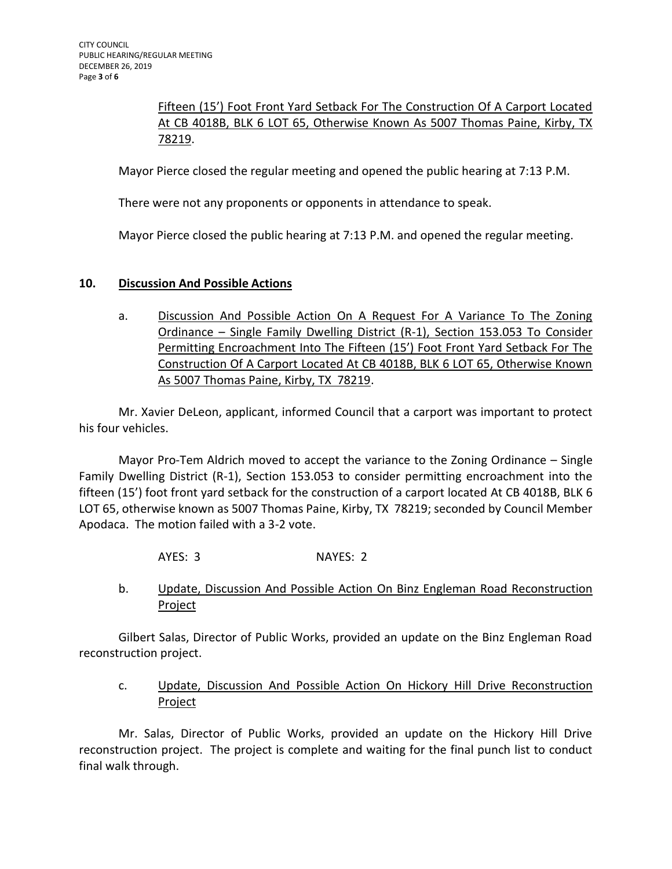Fifteen (15') Foot Front Yard Setback For The Construction Of A Carport Located At CB 4018B, BLK 6 LOT 65, Otherwise Known As 5007 Thomas Paine, Kirby, TX 78219.

Mayor Pierce closed the regular meeting and opened the public hearing at 7:13 P.M.

There were not any proponents or opponents in attendance to speak.

Mayor Pierce closed the public hearing at 7:13 P.M. and opened the regular meeting.

# **10. Discussion And Possible Actions**

a. Discussion And Possible Action On A Request For A Variance To The Zoning Ordinance – Single Family Dwelling District (R-1), Section 153.053 To Consider Permitting Encroachment Into The Fifteen (15') Foot Front Yard Setback For The Construction Of A Carport Located At CB 4018B, BLK 6 LOT 65, Otherwise Known As 5007 Thomas Paine, Kirby, TX 78219.

Mr. Xavier DeLeon, applicant, informed Council that a carport was important to protect his four vehicles.

Mayor Pro-Tem Aldrich moved to accept the variance to the Zoning Ordinance – Single Family Dwelling District (R-1), Section 153.053 to consider permitting encroachment into the fifteen (15') foot front yard setback for the construction of a carport located At CB 4018B, BLK 6 LOT 65, otherwise known as 5007 Thomas Paine, Kirby, TX 78219; seconded by Council Member Apodaca. The motion failed with a 3-2 vote.

- AYES: 3 NAYES: 2
- b. Update, Discussion And Possible Action On Binz Engleman Road Reconstruction **Project**

Gilbert Salas, Director of Public Works, provided an update on the Binz Engleman Road reconstruction project.

c. Update, Discussion And Possible Action On Hickory Hill Drive Reconstruction Project

Mr. Salas, Director of Public Works, provided an update on the Hickory Hill Drive reconstruction project. The project is complete and waiting for the final punch list to conduct final walk through.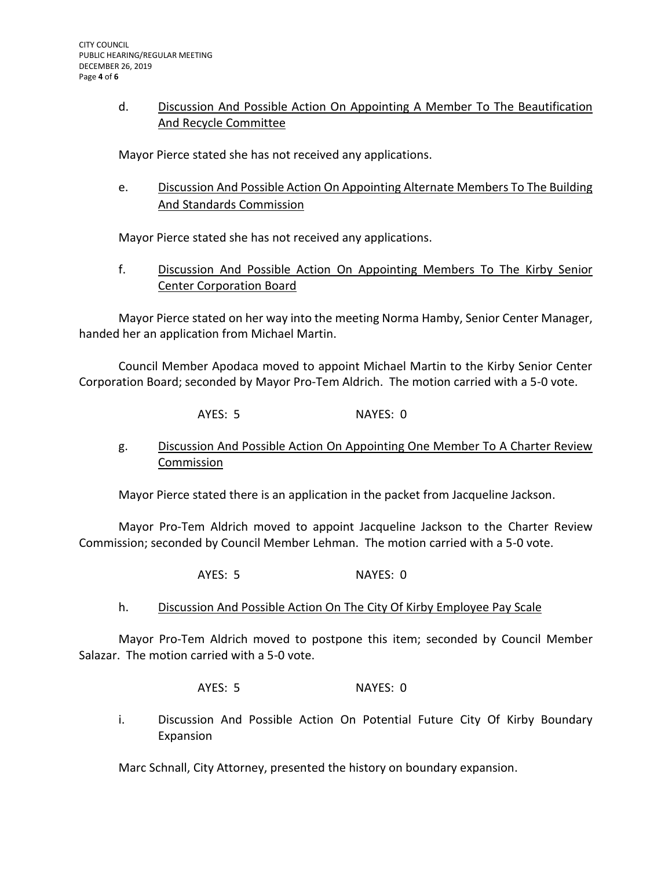# d. Discussion And Possible Action On Appointing A Member To The Beautification And Recycle Committee

Mayor Pierce stated she has not received any applications.

e. Discussion And Possible Action On Appointing Alternate Members To The Building And Standards Commission

Mayor Pierce stated she has not received any applications.

f. Discussion And Possible Action On Appointing Members To The Kirby Senior Center Corporation Board

Mayor Pierce stated on her way into the meeting Norma Hamby, Senior Center Manager, handed her an application from Michael Martin.

Council Member Apodaca moved to appoint Michael Martin to the Kirby Senior Center Corporation Board; seconded by Mayor Pro-Tem Aldrich. The motion carried with a 5-0 vote.

AYES: 5 NAYES: 0

g. Discussion And Possible Action On Appointing One Member To A Charter Review Commission

Mayor Pierce stated there is an application in the packet from Jacqueline Jackson.

Mayor Pro-Tem Aldrich moved to appoint Jacqueline Jackson to the Charter Review Commission; seconded by Council Member Lehman. The motion carried with a 5-0 vote.

- AYES: 5 NAYES: 0
- h. Discussion And Possible Action On The City Of Kirby Employee Pay Scale

Mayor Pro-Tem Aldrich moved to postpone this item; seconded by Council Member Salazar. The motion carried with a 5-0 vote.

AYES: 5 NAYES: 0

i. Discussion And Possible Action On Potential Future City Of Kirby Boundary Expansion

Marc Schnall, City Attorney, presented the history on boundary expansion.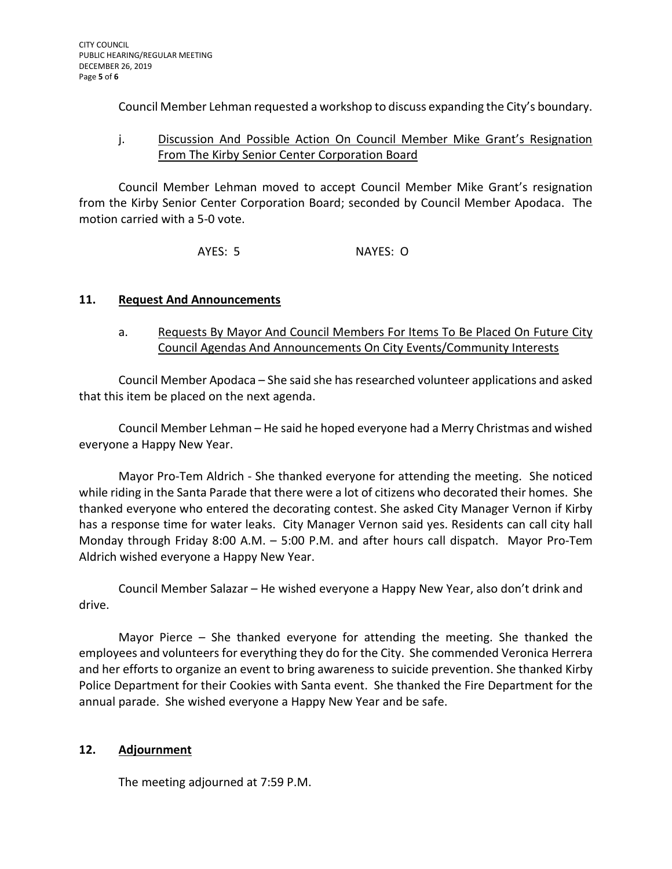Council Member Lehman requested a workshop to discuss expanding the City's boundary.

# j. Discussion And Possible Action On Council Member Mike Grant's Resignation From The Kirby Senior Center Corporation Board

Council Member Lehman moved to accept Council Member Mike Grant's resignation from the Kirby Senior Center Corporation Board; seconded by Council Member Apodaca. The motion carried with a 5-0 vote.

AYES: 5 NAYES: O

# **11. Request And Announcements**

# a. Requests By Mayor And Council Members For Items To Be Placed On Future City Council Agendas And Announcements On City Events/Community Interests

Council Member Apodaca – She said she has researched volunteer applications and asked that this item be placed on the next agenda.

Council Member Lehman – He said he hoped everyone had a Merry Christmas and wished everyone a Happy New Year.

Mayor Pro-Tem Aldrich - She thanked everyone for attending the meeting. She noticed while riding in the Santa Parade that there were a lot of citizens who decorated their homes. She thanked everyone who entered the decorating contest. She asked City Manager Vernon if Kirby has a response time for water leaks. City Manager Vernon said yes. Residents can call city hall Monday through Friday 8:00 A.M. – 5:00 P.M. and after hours call dispatch. Mayor Pro-Tem Aldrich wished everyone a Happy New Year.

Council Member Salazar – He wished everyone a Happy New Year, also don't drink and drive.

Mayor Pierce – She thanked everyone for attending the meeting. She thanked the employees and volunteers for everything they do for the City. She commended Veronica Herrera and her efforts to organize an event to bring awareness to suicide prevention. She thanked Kirby Police Department for their Cookies with Santa event. She thanked the Fire Department for the annual parade. She wished everyone a Happy New Year and be safe.

# **12. Adjournment**

The meeting adjourned at 7:59 P.M.